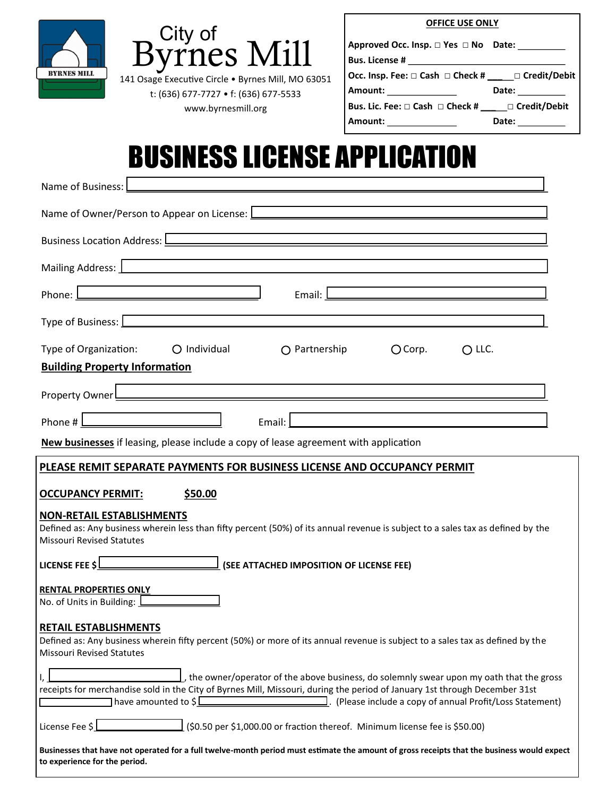| <b>BYRNES MILL</b> |  |
|--------------------|--|
|                    |  |



141 Osage Executive Circle • Byrnes Mill, MO 63051 t: (636) 677-7727 • f: (636) 677-5533 www.byrnesmill.org

|  | <b>OFFICE USE ONLY</b> |  |  |
|--|------------------------|--|--|
|--|------------------------|--|--|

| Approved Occ. Insp. □ Yes □ No Date:                 |       |
|------------------------------------------------------|-------|
| <b>Bus. License #</b>                                |       |
| Occ. Insp. Fee: □ Cash □ Check # ____ □ Credit/Debit |       |
| Amount:                                              | Date: |
| Bus. Lic. Fee: □ Cash □ Check # _____ □ Credit/Debit |       |
| Amount:                                              | Date: |

# BUSINESS LICENSE APPLICATION

| Name of Business:                                                                                                                                                                                                                                                                                                                                                                                                                                                     |
|-----------------------------------------------------------------------------------------------------------------------------------------------------------------------------------------------------------------------------------------------------------------------------------------------------------------------------------------------------------------------------------------------------------------------------------------------------------------------|
| Name of Owner/Person to Appear on License: [144] Manneson Manneson Communication Communication Communication C                                                                                                                                                                                                                                                                                                                                                        |
| Business Location Address: <u>Dentischer American and Charles and Charles and Charles and Charles and Charles and Charles and Charles and Charles and Charles and Charles and Charles and Charles and Charles and Charles and Ch</u>                                                                                                                                                                                                                                  |
| Mailing Address: 1                                                                                                                                                                                                                                                                                                                                                                                                                                                    |
|                                                                                                                                                                                                                                                                                                                                                                                                                                                                       |
| Type of Business: <u>2008 and 2008 and 2008 and 2008 and 2008 and 2008 and 2008 and 2008 and 2008 and 2008 and 2008 and 2008 and 2008 and 2008 and 2008 and 2008 and 2008 and 2008 and 2008 and 2008 and 2008 and 2008 and 2008 </u>                                                                                                                                                                                                                                  |
| Type of Organization:<br>O Individual  O Partnership<br>$O$ Corp.<br>$O$ LLC.<br><b>Building Property Information</b>                                                                                                                                                                                                                                                                                                                                                 |
| the control of the control of the control of the control of the control of the control of the control of the control of the control of the control of the control of the control of the control of the control of the control<br>Property Owner <u>December 2008 and 2009 and 2009 and 2009 and 2009 and 2009 and 2009 and 2009 and 2009 and 2009 and 2009 and 2009 and 2009 and 2009 and 2009 and 2009 and 2009 and 2009 and 2009 and 2009 and 2009 and 2009 and</u> |
| Phone # $\sqrt{2\pi r}$<br>Email: <u>Discovery and the contract of the contract of the contract of the contract of the contract of the contract of</u>                                                                                                                                                                                                                                                                                                                |
| New businesses if leasing, please include a copy of lease agreement with application                                                                                                                                                                                                                                                                                                                                                                                  |
| PLEASE REMIT SEPARATE PAYMENTS FOR BUSINESS LICENSE AND OCCUPANCY PERMIT                                                                                                                                                                                                                                                                                                                                                                                              |
| <b>OCCUPANCY PERMIT:</b><br>\$50.00                                                                                                                                                                                                                                                                                                                                                                                                                                   |
| <b>NON-RETAIL ESTABLISHMENTS</b><br>Defined as: Any business wherein less than fifty percent (50%) of its annual revenue is subject to a sales tax as defined by the<br><b>Missouri Revised Statutes</b>                                                                                                                                                                                                                                                              |
| LICENSE FEE \$\Requirement (SEE ATTACHED IMPOSITION OF LICENSE FEE)                                                                                                                                                                                                                                                                                                                                                                                                   |
| R <u>ENTAL PROPERTIES ONLY</u><br>No. of Units in Building: <b>Letter Act 10</b>                                                                                                                                                                                                                                                                                                                                                                                      |
| RETAIL ESTABLISHMENTS<br>Defined as: Any business wherein fifty percent (50%) or more of its annual revenue is subject to a sales tax as defined by the<br><b>Missouri Revised Statutes</b>                                                                                                                                                                                                                                                                           |
| receipts for merchandise sold in the City of Byrnes Mill, Missouri, during the period of January 1st through December 31st<br>have amounted to \$<br>The include a copy of annual Profit/Loss Statement) . (Please include a copy of annual Profit/Loss Statement)                                                                                                                                                                                                    |
| License Fee \$ $\sqrt{\frac{1}{50.50}}$ (\$0.50 per \$1,000.00 or fraction thereof. Minimum license fee is \$50.00)                                                                                                                                                                                                                                                                                                                                                   |
| Businesses that have not operated for a full twelve-month period must estimate the amount of gross receipts that the business would expect<br>to experience for the period.                                                                                                                                                                                                                                                                                           |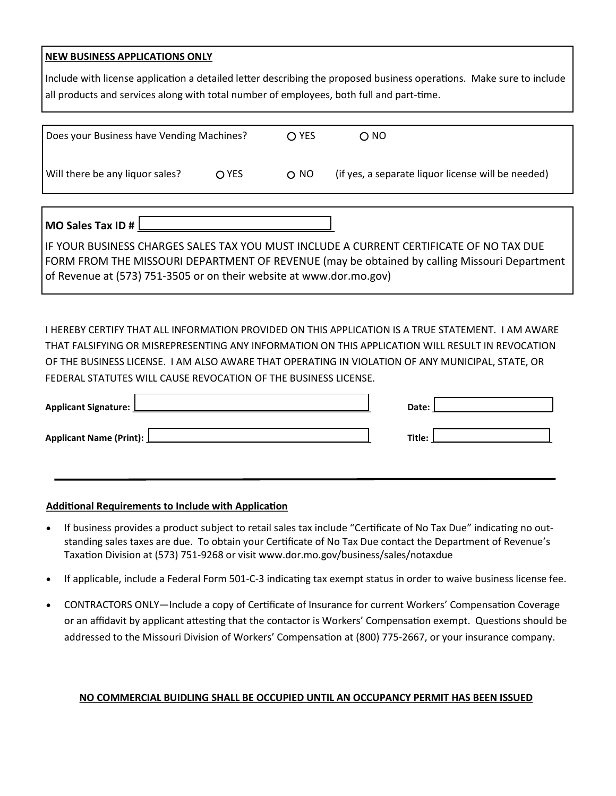#### **NEW BUSINESS APPLICATIONS ONLY**

Include with license application a detailed letter describing the proposed business operations. Make sure to include all products and services along with total number of employees, both full and part-time.

| Does your Business have Vending Machines? |       | $\bigcap$ YES   | $\bigcirc$ NO                                      |
|-------------------------------------------|-------|-----------------|----------------------------------------------------|
| Will there be any liquor sales?           | O YES | O <sub>NO</sub> | (if yes, a separate liquor license will be needed) |
|                                           |       |                 |                                                    |

**MO Sales Tax ID #** 

IF YOUR BUSINESS CHARGES SALES TAX YOU MUST INCLUDE A CURRENT CERTIFICATE OF NO TAX DUE FORM FROM THE MISSOURI DEPARTMENT OF REVENUE (may be obtained by calling Missouri Department of Revenue at (573) 751-3505 or on their website at www.dor.mo.gov)

I HEREBY CERTIFY THAT ALL INFORMATION PROVIDED ON THIS APPLICATION IS A TRUE STATEMENT. I AM AWARE THAT FALSIFYING OR MISREPRESENTING ANY INFORMATION ON THIS APPLICATION WILL RESULT IN REVOCATION OF THE BUSINESS LICENSE. I AM ALSO AWARE THAT OPERATING IN VIOLATION OF ANY MUNICIPAL, STATE, OR FEDERAL STATUTES WILL CAUSE REVOCATION OF THE BUSINESS LICENSE.

| Applicant Signature: L    | Date:  |
|---------------------------|--------|
| Applicant Name (Print): L | Title: |

#### **Additional Requirements to Include with Application**

- If business provides a product subject to retail sales tax include "Certificate of No Tax Due" indicating no outstanding sales taxes are due. To obtain your Certificate of No Tax Due contact the Department of Revenue's Taxation Division at (573) 751-9268 or visit www.dor.mo.gov/business/sales/notaxdue
- If applicable, include a Federal Form 501-C-3 indicating tax exempt status in order to waive business license fee.
- CONTRACTORS ONLY—Include a copy of Certificate of Insurance for current Workers' Compensation Coverage or an affidavit by applicant attesting that the contactor is Workers' Compensation exempt. Questions should be addressed to the Missouri Division of Workers' Compensation at (800) 775-2667, or your insurance company.

#### **NO COMMERCIAL BUIDLING SHALL BE OCCUPIED UNTIL AN OCCUPANCY PERMIT HAS BEEN ISSUED**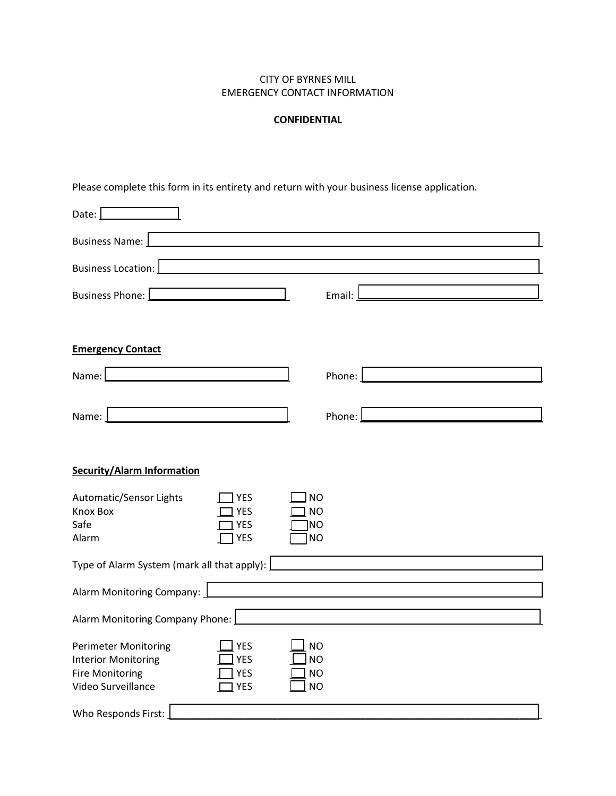#### CITY OF BYRNES MILL EMERGENCY CONTACT INFORMATION

#### **CONFIDENTIAL**

Please complete this form in its entirety and return with your business license application.

| Date:                                                                                                                                                             |                                                  |
|-------------------------------------------------------------------------------------------------------------------------------------------------------------------|--------------------------------------------------|
| Business Name:  <br><u> 1989 - John Stein, Amerikaansk konst</u>                                                                                                  |                                                  |
| Business Location:                                                                                                                                                |                                                  |
| Business Phone: [                                                                                                                                                 | Email:                                           |
| <b>Emergency Contact</b>                                                                                                                                          |                                                  |
| Name:                                                                                                                                                             | Phone:                                           |
| Name:                                                                                                                                                             | Phone:                                           |
| <b>Security/Alarm Information</b><br>Automatic/Sensor Lights<br><b>YES</b>                                                                                        | <b>NO</b>                                        |
| <b>Knox Box</b><br><b>YES</b><br>Safe<br><b>YES</b><br>Alarm<br><b>YES</b>                                                                                        | <b>NO</b><br><b>NO</b><br><b>NO</b>              |
| Type of Alarm System (mark all that apply): $\lfloor$                                                                                                             |                                                  |
| Alarm Monitoring Company:                                                                                                                                         |                                                  |
| Alarm Monitoring Company Phone:                                                                                                                                   |                                                  |
| <b>Perimeter Monitoring</b><br><b>YES</b><br><b>YES</b><br><b>Interior Monitoring</b><br><b>Fire Monitoring</b><br><b>YES</b><br>Video Surveillance<br><b>YES</b> | <b>NO</b><br><b>NO</b><br><b>NO</b><br><b>NO</b> |
| Who Responds First:                                                                                                                                               |                                                  |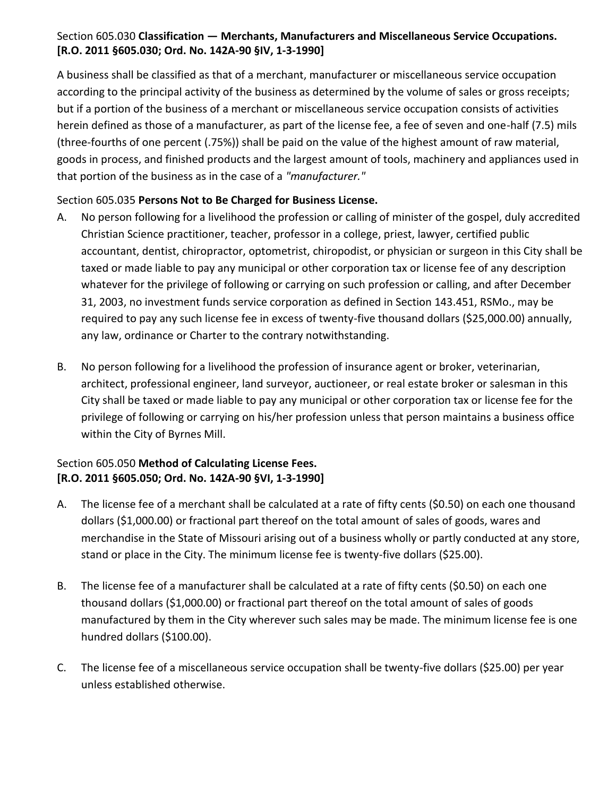### Section 605.030 **Classification — Merchants, Manufacturers and Miscellaneous Service Occupations. [R.O. 2011 §605.030; Ord. No. 142A-90 §IV, 1-3-1990]**

A business shall be classified as that of a merchant, manufacturer or miscellaneous service occupation according to the principal activity of the business as determined by the volume of sales or gross receipts; but if a portion of the business of a merchant or miscellaneous service occupation consists of activities herein defined as those of a manufacturer, as part of the license fee, a fee of seven and one-half (7.5) mils (three-fourths of one percent (.75%)) shall be paid on the value of the highest amount of raw material, goods in process, and finished products and the largest amount of tools, machinery and appliances used in that portion of the business as in the case of a *"manufacturer."*

## Section 605.035 **Persons Not to Be Charged for Business License.**

- A. No person following for a livelihood the profession or calling of minister of the gospel, duly accredited Christian Science practitioner, teacher, professor in a college, priest, lawyer, certified public accountant, dentist, chiropractor, optometrist, chiropodist, or physician or surgeon in this City shall be taxed or made liable to pay any municipal or other corporation tax or license fee of any description whatever for the privilege of following or carrying on such profession or calling, and after December 31, 2003, no investment funds service corporation as defined in Section 143.451, RSMo., may be required to pay any such license fee in excess of twenty-five thousand dollars (\$25,000.00) annually, any law, ordinance or Charter to the contrary notwithstanding.
- B. No person following for a livelihood the profession of insurance agent or broker, veterinarian, architect, professional engineer, land surveyor, auctioneer, or real estate broker or salesman in this City shall be taxed or made liable to pay any municipal or other corporation tax or license fee for the privilege of following or carrying on his/her profession unless that person maintains a business office within the City of Byrnes Mill.

## Section 605.050 **Method of Calculating License Fees. [R.O. 2011 §605.050; Ord. No. 142A-90 §VI, 1-3-1990]**

- A. The license fee of a merchant shall be calculated at a rate of fifty cents (\$0.50) on each one thousand dollars (\$1,000.00) or fractional part thereof on the total amount of sales of goods, wares and merchandise in the State of Missouri arising out of a business wholly or partly conducted at any store, stand or place in the City. The minimum license fee is twenty-five dollars (\$25.00).
- B. The license fee of a manufacturer shall be calculated at a rate of fifty cents (\$0.50) on each one thousand dollars (\$1,000.00) or fractional part thereof on the total amount of sales of goods manufactured by them in the City wherever such sales may be made. The minimum license fee is one hundred dollars (\$100.00).
- C. The license fee of a miscellaneous service occupation shall be twenty-five dollars (\$25.00) per year unless established otherwise.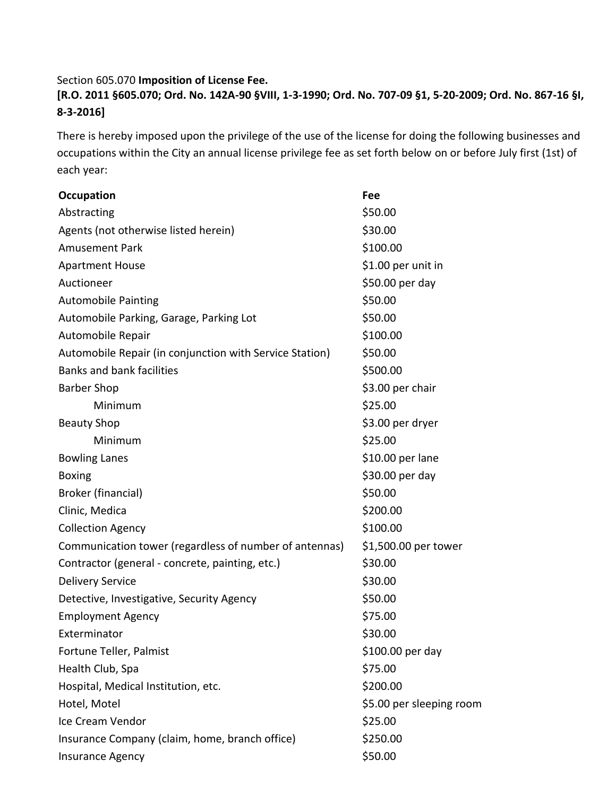#### Section 605.070 **Imposition of License Fee.**

**[R.O. 2011 §605.070; Ord. No. 142A-90 §VIII, 1-3-1990; Ord. No. 707-09 §1, 5-20-2009; Ord. No. 867-16 §I, 8-3-2016]**

There is hereby imposed upon the privilege of the use of the license for doing the following businesses and occupations within the City an annual license privilege fee as set forth below on or before July first (1st) of each year:

| <b>Occupation</b>                                       | Fee                      |
|---------------------------------------------------------|--------------------------|
| Abstracting                                             | \$50.00                  |
| Agents (not otherwise listed herein)                    | \$30.00                  |
| <b>Amusement Park</b>                                   | \$100.00                 |
| <b>Apartment House</b>                                  | \$1.00 per unit in       |
| Auctioneer                                              | \$50.00 per day          |
| <b>Automobile Painting</b>                              | \$50.00                  |
| Automobile Parking, Garage, Parking Lot                 | \$50.00                  |
| Automobile Repair                                       | \$100.00                 |
| Automobile Repair (in conjunction with Service Station) | \$50.00                  |
| <b>Banks and bank facilities</b>                        | \$500.00                 |
| <b>Barber Shop</b>                                      | \$3.00 per chair         |
| Minimum                                                 | \$25.00                  |
| <b>Beauty Shop</b>                                      | \$3.00 per dryer         |
| Minimum                                                 | \$25.00                  |
| <b>Bowling Lanes</b>                                    | \$10.00 per lane         |
| <b>Boxing</b>                                           | \$30.00 per day          |
| Broker (financial)                                      | \$50.00                  |
| Clinic, Medica                                          | \$200.00                 |
| <b>Collection Agency</b>                                | \$100.00                 |
| Communication tower (regardless of number of antennas)  | \$1,500.00 per tower     |
| Contractor (general - concrete, painting, etc.)         | \$30.00                  |
| <b>Delivery Service</b>                                 | \$30.00                  |
| Detective, Investigative, Security Agency               | \$50.00                  |
| <b>Employment Agency</b>                                | \$75.00                  |
| Exterminator                                            | \$30.00                  |
| Fortune Teller, Palmist                                 | \$100.00 per day         |
| Health Club, Spa                                        | \$75.00                  |
| Hospital, Medical Institution, etc.                     | \$200.00                 |
| Hotel, Motel                                            | \$5.00 per sleeping room |
| Ice Cream Vendor                                        | \$25.00                  |
| Insurance Company (claim, home, branch office)          | \$250.00                 |
| <b>Insurance Agency</b>                                 | \$50.00                  |
|                                                         |                          |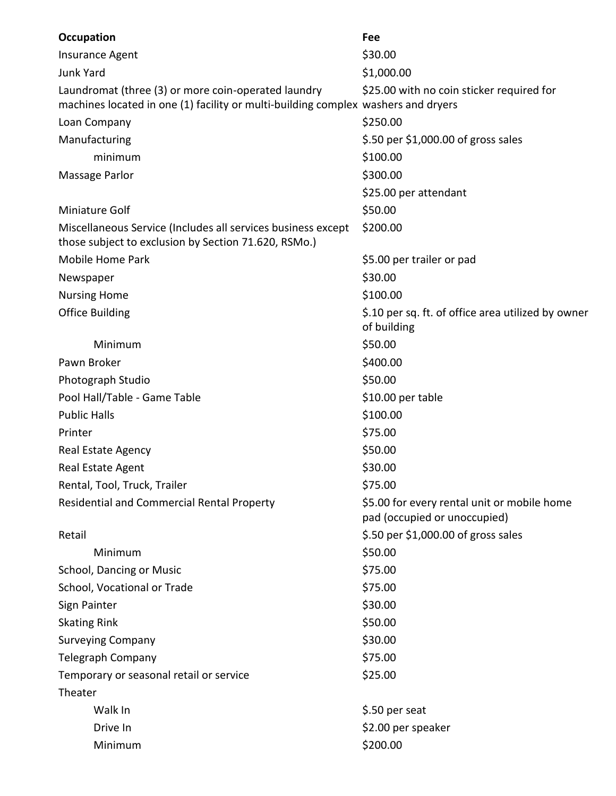| Occupation                                                                                                                               | Fee                                                                         |
|------------------------------------------------------------------------------------------------------------------------------------------|-----------------------------------------------------------------------------|
| Insurance Agent                                                                                                                          | \$30.00                                                                     |
| <b>Junk Yard</b>                                                                                                                         | \$1,000.00                                                                  |
| Laundromat (three (3) or more coin-operated laundry<br>machines located in one (1) facility or multi-building complex washers and dryers | \$25.00 with no coin sticker required for                                   |
| Loan Company                                                                                                                             | \$250.00                                                                    |
| Manufacturing                                                                                                                            | \$.50 per \$1,000.00 of gross sales                                         |
| minimum                                                                                                                                  | \$100.00                                                                    |
| Massage Parlor                                                                                                                           | \$300.00                                                                    |
|                                                                                                                                          | \$25.00 per attendant                                                       |
| Miniature Golf                                                                                                                           | \$50.00                                                                     |
| Miscellaneous Service (Includes all services business except<br>those subject to exclusion by Section 71.620, RSMo.)                     | \$200.00                                                                    |
| Mobile Home Park                                                                                                                         | \$5.00 per trailer or pad                                                   |
| Newspaper                                                                                                                                | \$30.00                                                                     |
| <b>Nursing Home</b>                                                                                                                      | \$100.00                                                                    |
| <b>Office Building</b>                                                                                                                   | \$.10 per sq. ft. of office area utilized by owner<br>of building           |
| Minimum                                                                                                                                  | \$50.00                                                                     |
| Pawn Broker                                                                                                                              | \$400.00                                                                    |
| Photograph Studio                                                                                                                        | \$50.00                                                                     |
| Pool Hall/Table - Game Table                                                                                                             | \$10.00 per table                                                           |
| <b>Public Halls</b>                                                                                                                      | \$100.00                                                                    |
| Printer                                                                                                                                  | \$75.00                                                                     |
| Real Estate Agency                                                                                                                       | \$50.00                                                                     |
| Real Estate Agent                                                                                                                        | \$30.00                                                                     |
| Rental, Tool, Truck, Trailer                                                                                                             | \$75.00                                                                     |
| <b>Residential and Commercial Rental Property</b>                                                                                        | \$5.00 for every rental unit or mobile home<br>pad (occupied or unoccupied) |
| Retail                                                                                                                                   | \$.50 per \$1,000.00 of gross sales                                         |
| Minimum                                                                                                                                  | \$50.00                                                                     |
| School, Dancing or Music                                                                                                                 | \$75.00                                                                     |
| School, Vocational or Trade                                                                                                              | \$75.00                                                                     |
| Sign Painter                                                                                                                             | \$30.00                                                                     |
| <b>Skating Rink</b>                                                                                                                      | \$50.00                                                                     |
| <b>Surveying Company</b>                                                                                                                 | \$30.00                                                                     |
| Telegraph Company                                                                                                                        | \$75.00                                                                     |
| Temporary or seasonal retail or service                                                                                                  | \$25.00                                                                     |
| Theater                                                                                                                                  |                                                                             |
| Walk In                                                                                                                                  | \$.50 per seat                                                              |
| Drive In                                                                                                                                 | \$2.00 per speaker                                                          |
| Minimum                                                                                                                                  | \$200.00                                                                    |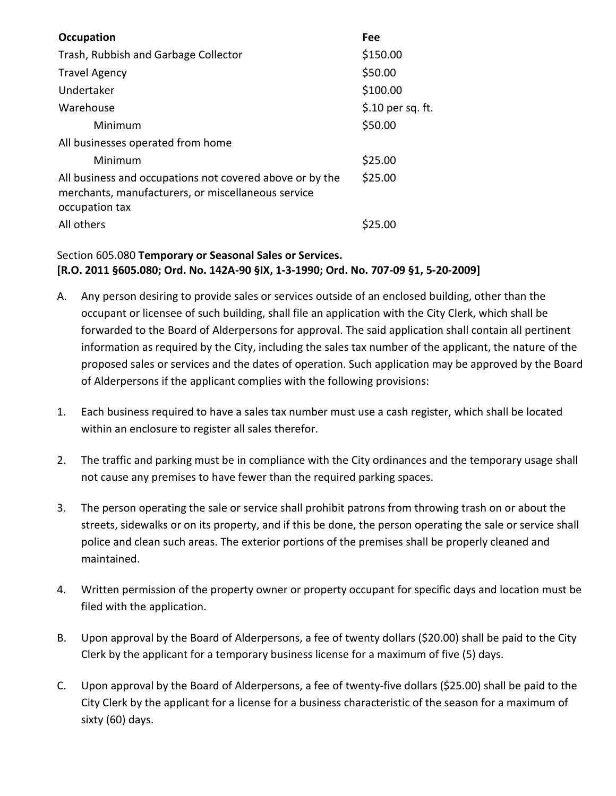| Occupation                                                                                                                       | Fee               |
|----------------------------------------------------------------------------------------------------------------------------------|-------------------|
| Trash, Rubbish and Garbage Collector                                                                                             | \$150.00          |
| <b>Travel Agency</b>                                                                                                             | \$50.00           |
| Undertaker                                                                                                                       | \$100.00          |
| Warehouse                                                                                                                        | \$.10 per sq. ft. |
| Minimum                                                                                                                          | \$50.00           |
| All businesses operated from home                                                                                                |                   |
| Minimum                                                                                                                          | \$25.00           |
| All business and occupations not covered above or by the<br>merchants, manufacturers, or miscellaneous service<br>occupation tax | \$25.00           |
| All others                                                                                                                       | S25.00            |

## Section 605.080 **Temporary or Seasonal Sales or Services. [R.O. 2011 §605.080; Ord. No. 142A-90 §IX, 1-3-1990; Ord. No. 707-09 §1, 5-20-2009]**

- A. Any person desiring to provide sales or services outside of an enclosed building, other than the occupant or licensee of such building, shall file an application with the City Clerk, which shall be forwarded to the Board of Alderpersons for approval. The said application shall contain all pertinent information as required by the City, including the sales tax number of the applicant, the nature of the proposed sales or services and the dates of operation. Such application may be approved by the Board of Alderpersons if the applicant complies with the following provisions:
- 1. Each business required to have a sales tax number must use a cash register, which shall be located within an enclosure to register all sales therefor.
- 2. The traffic and parking must be in compliance with the City ordinances and the temporary usage shall not cause any premises to have fewer than the required parking spaces.
- 3. The person operating the sale or service shall prohibit patrons from throwing trash on or about the streets, sidewalks or on its property, and if this be done, the person operating the sale or service shall police and clean such areas. The exterior portions of the premises shall be properly cleaned and maintained.
- 4. Written permission of the property owner or property occupant for specific days and location must be filed with the application.
- B. Upon approval by the Board of Alderpersons, a fee of twenty dollars (\$20.00) shall be paid to the City Clerk by the applicant for a temporary business license for a maximum of five (5) days.
- C. Upon approval by the Board of Alderpersons, a fee of twenty-five dollars (\$25.00) shall be paid to the City Clerk by the applicant for a license for a business characteristic of the season for a maximum of sixty (60) days.